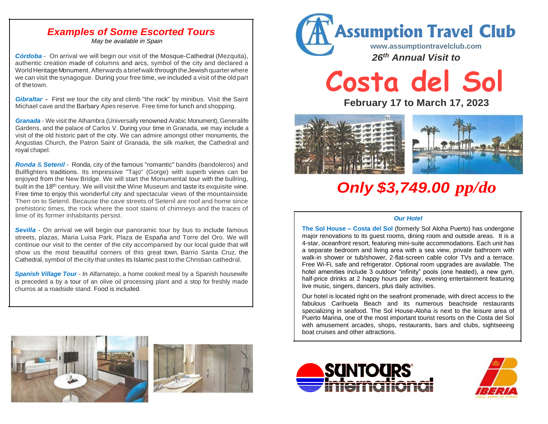### *Examples of Some Escorted Tours*

*May be available in Spain*

*Córdoba* - On arrival we will begin our visit of the Mosque-Cathedral (Mezquita), authentic creation made of columns and arcs, symbol of the city and declared a World Heritage Monument. Afterwards a brief walk through the Jewish quarter where we can visit the synagogue. During your free time, we included a visit of the old part of thetown.

*Gibraltar -* First we tour the city and climb "the rock" by minibus. Visit the Saint Michael cave and the Barbary Apes reserve. Free time for lunch and shopping.

*Granada* - We visit the Alhambra (Universally renowned Arabic Monument), Generalife Gardens, and the palace of Carlos V. During your time in Granada, we may include a visit of the old historic part of the city. We can admire amongst other monuments, the Angustias Church, the Patron Saint of Granada, the silk market, the Cathedral and royal chapel.

*Ronda* & *Setenil* - Ronda, city of the famous "romantic" bandits (bandoleros) and Bullfighters traditions. Its impressive "Tajo" (Gorge) with superb views can be enjoyed from the New Bridge. We will start the Monumental tour with the bullring, built in the 18<sup>th</sup> century. We will visit the Wine Museum and taste its exquisite wine. Free time to enjoy this wonderful city and spectacular views of the mountainside.. Then on to Setenil. Because the cave streets of Setenil are roof and home since prehistoric times, the rock where the soot stains of chimneys and the traces of lime of its former inhabitants persist.

*Sevilla* - On arrival we will begin our panoramic tour by bus to include famous streets, plazas, Maria Luisa Park, Plaza de España and Torre del Oro. We will continue our visit to the center of the city accompanied by our local guide that will show us the most beautiful corners of this great town, Barrio Santa Cruz, the Cathedral, symbol of the city that unites its Islamic past to the Christian cathedral.

*Spanish Village Tour* - In Alfarnatejo, a home cooked meal by a Spanish housewife is preceded a by a tour of an olive oil processing plant and a stop for freshly made churros at a roadside stand. Food is included.



# **Costa del Sol**

**February 17 to March 17, 2023**



## *Only \$3,749.00 pp/do*

#### *Our Hotel*

**The Sol House – Costa del Sol** (formerly Sol Aloha Puerto) has undergone major renovations to its guest rooms, dining room and outside areas. It is a 4-star, oceanfront resort, featuring mini-suite accommodations. Each unit has a separate bedroom and living area with a sea view, private bathroom with walk-in shower or tub/shower, 2-flat-screen cable color TVs and a terrace. Free Wi-Fi, safe and refrigerator. Optional room upgrades are available. The hotel amenities include 3 outdoor "infinity" pools (one heated), a new gym, half-price drinks at 2 happy hours per day, evening entertainment featuring live music, singers, dancers, plus daily activities.

Our hotel is located right on the seafront promenade, with direct access to the fabulous Carihuela Beach and its numerous beachside restaurants specializing in seafood. The Sol House-Aloha is next to the leisure area of Puerto Marina, one of the most important tourist resorts on the Costa del Sol with amusement arcades, shops, restaurants, bars and clubs, sightseeing boat cruises and other attractions.